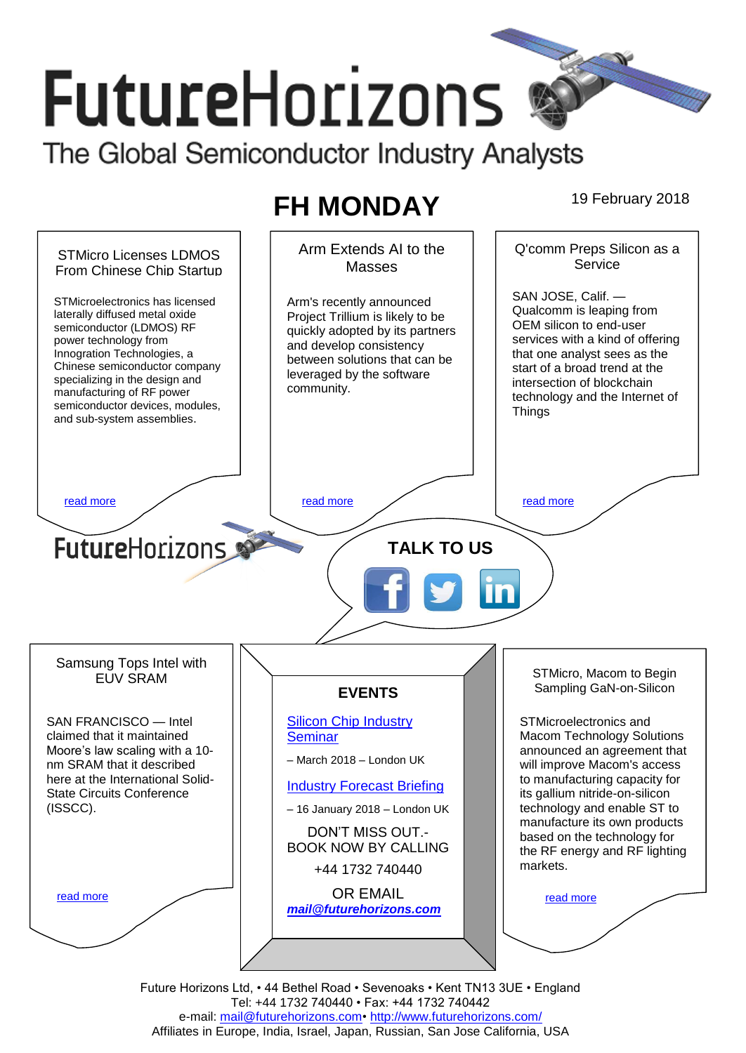# **FutureHorizons** The Global Semiconductor Industry Analysts

**FH MONDAY** 19 February 2018

#### Arm Extends AI to the Q'comm Preps Silicon as a STMicro Licenses LDMOS **Service Masses** From Chinese Chip Startup SAN JOSE, Calif. — STMicroelectronics has licensed Arm's recently announced Qualcomm is leaping from laterally diffused metal oxide Project Trillium is likely to be OEM silicon to end-user semiconductor (LDMOS) RF quickly adopted by its partners services with a kind of offering power technology from and develop consistency Innogration Technologies, a that one analyst sees as the between solutions that can be Chinese semiconductor company start of a broad trend at the leveraged by the software specializing in the design and intersection of blockchain community. manufacturing of RF power technology and the Internet of semiconductor devices, modules, **Things** and sub-system assemblies. [read more](#page-1-1) that the second contract the second contract of the read more that the read more that the read more **Future**Horizons **TALK TO US** Samsung Tops Intel with STMicro, Macom to Begin EUV SRAM Sampling GaN-on-Silicon **EVENTS** SAN FRANCISCO — Intel [Silicon Chip Industry](http://www.futurehorizons.com/page/12/silicon-chip-training)  STMicroelectronics and **[Seminar](http://www.futurehorizons.com/page/12/silicon-chip-training)** Macom Technology Solutions claimed that it maintained Moore's law scaling with a 10 announced an agreement that – March 2018 – London UK nm SRAM that it described will improve Macom's access here at the International Solidto manufacturing capacity for [Industry Forecast Briefing](http://www.futurehorizons.com/page/13/Semiconductor-Market-Forecast-Seminar) State Circuits Conference its gallium nitride-on-silicon (ISSCC).technology and enable ST to – 16 January 2018 – London UK manufacture its own products DON'T MISS OUT. based on the technology for BOOK NOW BY CALLING the RF energy and RF lighting markets. +44 1732 740440 OR EMAIL [read more](#page-1-3) [read more](#page-1-4) *[mail@futurehorizons.com](mailto:mail@futurehorizons.com)*

Future Horizons Ltd, • 44 Bethel Road • Sevenoaks • Kent TN13 3UE • England Tel: +44 1732 740440 • Fax: +44 1732 740442 e-mail: mail@futurehorizons.com• http://www.futurehorizons.com/ Affiliates in Europe, India, Israel, Japan, Russian, San Jose California, USA